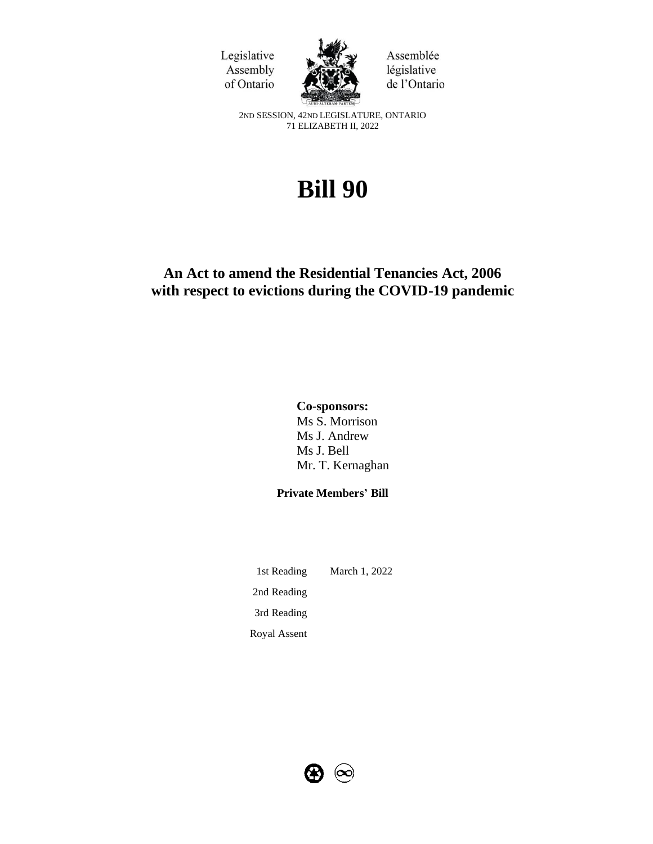



Assemblée législative de l'Ontario

2ND SESSION, 42ND LEGISLATURE, ONTARIO 71 ELIZABETH II, 2022

# **Bill 90**

## **An Act to amend the Residential Tenancies Act, 2006 with respect to evictions during the COVID-19 pandemic**

## **Co-sponsors:**

Ms S. Morrison Ms J. Andrew Ms J. Bell Mr. T. Kernaghan

## **Private Members' Bill**

1st Reading March 1, 2022 2nd Reading 3rd Reading Royal Assent